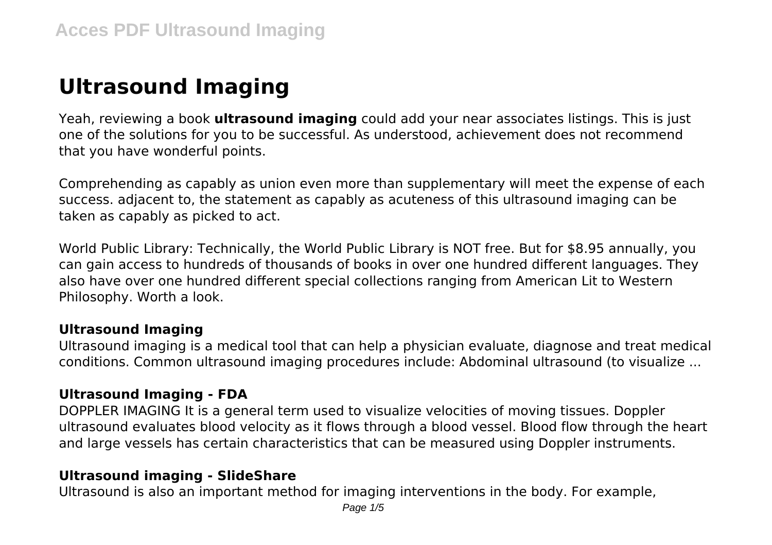# **Ultrasound Imaging**

Yeah, reviewing a book **ultrasound imaging** could add your near associates listings. This is just one of the solutions for you to be successful. As understood, achievement does not recommend that you have wonderful points.

Comprehending as capably as union even more than supplementary will meet the expense of each success. adjacent to, the statement as capably as acuteness of this ultrasound imaging can be taken as capably as picked to act.

World Public Library: Technically, the World Public Library is NOT free. But for \$8.95 annually, you can gain access to hundreds of thousands of books in over one hundred different languages. They also have over one hundred different special collections ranging from American Lit to Western Philosophy. Worth a look.

#### **Ultrasound Imaging**

Ultrasound imaging is a medical tool that can help a physician evaluate, diagnose and treat medical conditions. Common ultrasound imaging procedures include: Abdominal ultrasound (to visualize ...

## **Ultrasound Imaging - FDA**

DOPPLER IMAGING It is a general term used to visualize velocities of moving tissues. Doppler ultrasound evaluates blood velocity as it flows through a blood vessel. Blood flow through the heart and large vessels has certain characteristics that can be measured using Doppler instruments.

## **Ultrasound imaging - SlideShare**

Ultrasound is also an important method for imaging interventions in the body. For example,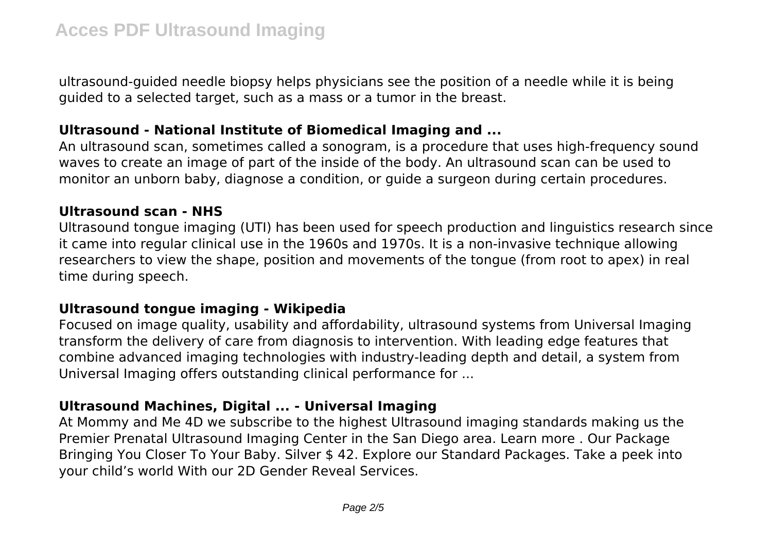ultrasound-guided needle biopsy helps physicians see the position of a needle while it is being guided to a selected target, such as a mass or a tumor in the breast.

#### **Ultrasound - National Institute of Biomedical Imaging and ...**

An ultrasound scan, sometimes called a sonogram, is a procedure that uses high-frequency sound waves to create an image of part of the inside of the body. An ultrasound scan can be used to monitor an unborn baby, diagnose a condition, or guide a surgeon during certain procedures.

#### **Ultrasound scan - NHS**

Ultrasound tongue imaging (UTI) has been used for speech production and linguistics research since it came into regular clinical use in the 1960s and 1970s. It is a non-invasive technique allowing researchers to view the shape, position and movements of the tongue (from root to apex) in real time during speech.

#### **Ultrasound tongue imaging - Wikipedia**

Focused on image quality, usability and affordability, ultrasound systems from Universal Imaging transform the delivery of care from diagnosis to intervention. With leading edge features that combine advanced imaging technologies with industry-leading depth and detail, a system from Universal Imaging offers outstanding clinical performance for ...

## **Ultrasound Machines, Digital ... - Universal Imaging**

At Mommy and Me 4D we subscribe to the highest Ultrasound imaging standards making us the Premier Prenatal Ultrasound Imaging Center in the San Diego area. Learn more . Our Package Bringing You Closer To Your Baby. Silver \$ 42. Explore our Standard Packages. Take a peek into your child's world With our 2D Gender Reveal Services.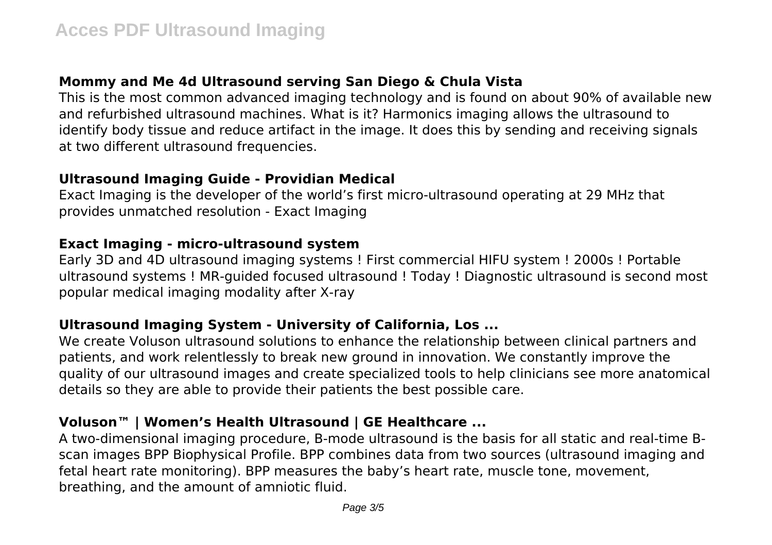# **Mommy and Me 4d Ultrasound serving San Diego & Chula Vista**

This is the most common advanced imaging technology and is found on about 90% of available new and refurbished ultrasound machines. What is it? Harmonics imaging allows the ultrasound to identify body tissue and reduce artifact in the image. It does this by sending and receiving signals at two different ultrasound frequencies.

#### **Ultrasound Imaging Guide - Providian Medical**

Exact Imaging is the developer of the world's first micro-ultrasound operating at 29 MHz that provides unmatched resolution - Exact Imaging

#### **Exact Imaging - micro-ultrasound system**

Early 3D and 4D ultrasound imaging systems ! First commercial HIFU system ! 2000s ! Portable ultrasound systems ! MR-guided focused ultrasound ! Today ! Diagnostic ultrasound is second most popular medical imaging modality after X-ray

## **Ultrasound Imaging System - University of California, Los ...**

We create Voluson ultrasound solutions to enhance the relationship between clinical partners and patients, and work relentlessly to break new ground in innovation. We constantly improve the quality of our ultrasound images and create specialized tools to help clinicians see more anatomical details so they are able to provide their patients the best possible care.

# **Voluson™ | Women's Health Ultrasound | GE Healthcare ...**

A two-dimensional imaging procedure, B-mode ultrasound is the basis for all static and real-time Bscan images BPP Biophysical Profile. BPP combines data from two sources (ultrasound imaging and fetal heart rate monitoring). BPP measures the baby's heart rate, muscle tone, movement, breathing, and the amount of amniotic fluid.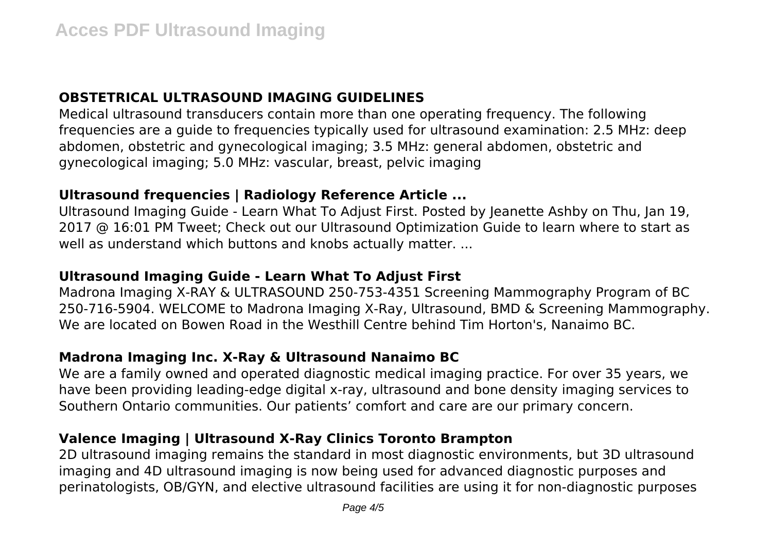# **OBSTETRICAL ULTRASOUND IMAGING GUIDELINES**

Medical ultrasound transducers contain more than one operating frequency. The following frequencies are a guide to frequencies typically used for ultrasound examination: 2.5 MHz: deep abdomen, obstetric and gynecological imaging; 3.5 MHz: general abdomen, obstetric and gynecological imaging; 5.0 MHz: vascular, breast, pelvic imaging

# **Ultrasound frequencies | Radiology Reference Article ...**

Ultrasound Imaging Guide - Learn What To Adjust First. Posted by Jeanette Ashby on Thu, Jan 19, 2017 @ 16:01 PM Tweet; Check out our Ultrasound Optimization Guide to learn where to start as well as understand which buttons and knobs actually matter. ...

# **Ultrasound Imaging Guide - Learn What To Adjust First**

Madrona Imaging X-RAY & ULTRASOUND 250-753-4351 Screening Mammography Program of BC 250-716-5904. WELCOME to Madrona Imaging X-Ray, Ultrasound, BMD & Screening Mammography. We are located on Bowen Road in the Westhill Centre behind Tim Horton's, Nanaimo BC.

# **Madrona Imaging Inc. X-Ray & Ultrasound Nanaimo BC**

We are a family owned and operated diagnostic medical imaging practice. For over 35 years, we have been providing leading-edge digital x-ray, ultrasound and bone density imaging services to Southern Ontario communities. Our patients' comfort and care are our primary concern.

# **Valence Imaging | Ultrasound X-Ray Clinics Toronto Brampton**

2D ultrasound imaging remains the standard in most diagnostic environments, but 3D ultrasound imaging and 4D ultrasound imaging is now being used for advanced diagnostic purposes and perinatologists, OB/GYN, and elective ultrasound facilities are using it for non-diagnostic purposes